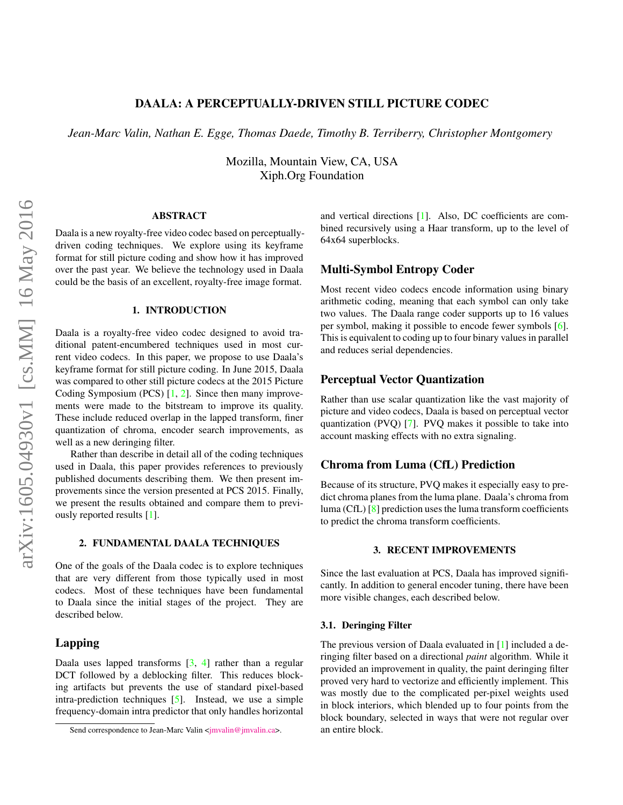# DAALA: A PERCEPTUALLY-DRIVEN STILL PICTURE CODEC

<span id="page-0-0"></span>*Jean-Marc Valin, Nathan E. Egge, Thomas Daede, Timothy B. Terriberry, Christopher Montgomery*

Mozilla, Mountain View, CA, USA Xiph.Org Foundation

### ABSTRACT

Daala is a new royalty-free video codec based on perceptuallydriven coding techniques. We explore using its keyframe format for still picture coding and show how it has improved over the past year. We believe the technology used in Daala could be the basis of an excellent, royalty-free image format.

## 1. INTRODUCTION

Daala is a royalty-free video codec designed to avoid traditional patent-encumbered techniques used in most current video codecs. In this paper, we propose to use Daala's keyframe format for still picture coding. In June 2015, Daala was compared to other still picture codecs at the 2015 Picture Coding Symposium (PCS) [\[1,](#page-2-0) [2\]](#page-3-0). Since then many improvements were made to the bitstream to improve its quality. These include reduced overlap in the lapped transform, finer quantization of chroma, encoder search improvements, as well as a new deringing filter.

Rather than describe in detail all of the coding techniques used in Daala, this paper provides references to previously published documents describing them. We then present improvements since the version presented at PCS 2015. Finally, we present the results obtained and compare them to previously reported results [\[1\]](#page-2-0).

#### 2. FUNDAMENTAL DAALA TECHNIQUES

One of the goals of the Daala codec is to explore techniques that are very different from those typically used in most codecs. Most of these techniques have been fundamental to Daala since the initial stages of the project. They are described below.

# Lapping

Daala uses lapped transforms [\[3,](#page-3-0) [4\]](#page-3-0) rather than a regular DCT followed by a deblocking filter. This reduces blocking artifacts but prevents the use of standard pixel-based intra-prediction techniques [\[5\]](#page-3-0). Instead, we use a simple frequency-domain intra predictor that only handles horizontal

and vertical directions [\[1\]](#page-2-0). Also, DC coefficients are combined recursively using a Haar transform, up to the level of 64x64 superblocks.

## Multi-Symbol Entropy Coder

Most recent video codecs encode information using binary arithmetic coding, meaning that each symbol can only take two values. The Daala range coder supports up to 16 values per symbol, making it possible to encode fewer symbols [\[6\]](#page-3-0). This is equivalent to coding up to four binary values in parallel and reduces serial dependencies.

# Perceptual Vector Quantization

Rather than use scalar quantization like the vast majority of picture and video codecs, Daala is based on perceptual vector quantization (PVQ) [\[7\]](#page-3-0). PVQ makes it possible to take into account masking effects with no extra signaling.

## Chroma from Luma (CfL) Prediction

Because of its structure, PVQ makes it especially easy to predict chroma planes from the luma plane. Daala's chroma from luma (CfL) [\[8\]](#page-3-0) prediction uses the luma transform coefficients to predict the chroma transform coefficients.

#### 3. RECENT IMPROVEMENTS

Since the last evaluation at PCS, Daala has improved significantly. In addition to general encoder tuning, there have been more visible changes, each described below.

#### 3.1. Deringing Filter

The previous version of Daala evaluated in [\[1\]](#page-2-0) included a deringing filter based on a directional *paint* algorithm. While it provided an improvement in quality, the paint deringing filter proved very hard to vectorize and efficiently implement. This was mostly due to the complicated per-pixel weights used in block interiors, which blended up to four points from the block boundary, selected in ways that were not regular over an entire block.

Send correspondence to Jean-Marc Valin [<jmvalin@jmvalin.ca>](mailto:jmvalin@jmvalin.ca).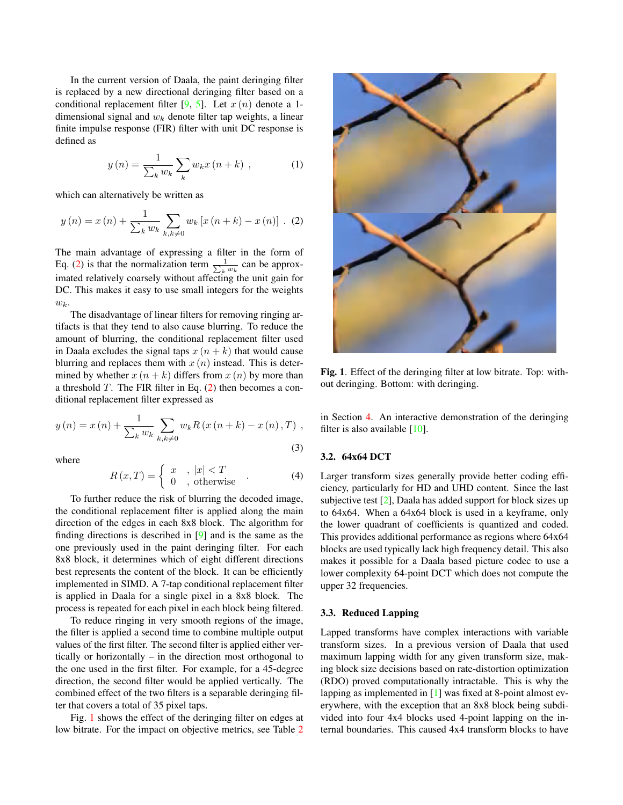In the current version of Daala, the paint deringing filter is replaced by a new directional deringing filter based on a conditional replacement filter [\[9,](#page-3-0) [5\]](#page-3-0). Let  $x(n)$  denote a 1dimensional signal and  $w_k$  denote filter tap weights, a linear finite impulse response (FIR) filter with unit DC response is defined as

$$
y(n) = \frac{1}{\sum_{k} w_k} \sum_{k} w_k x(n+k) , \qquad (1)
$$

which can alternatively be written as

$$
y(n) = x(n) + \frac{1}{\sum_{k} w_k} \sum_{k, k \neq 0} w_k [x(n+k) - x(n)]
$$
 (2)

The main advantage of expressing a filter in the form of Eq. (2) is that the normalization term  $\frac{1}{\sum_k w_k}$  can be approximated relatively coarsely without affecting the unit gain for DC. This makes it easy to use small integers for the weights  $w_k$ .

The disadvantage of linear filters for removing ringing artifacts is that they tend to also cause blurring. To reduce the amount of blurring, the conditional replacement filter used in Daala excludes the signal taps  $x(n + k)$  that would cause blurring and replaces them with  $x(n)$  instead. This is determined by whether  $x(n + k)$  differs from  $x(n)$  by more than a threshold  $T$ . The FIR filter in Eq.  $(2)$  then becomes a conditional replacement filter expressed as

$$
y(n) = x(n) + \frac{1}{\sum_{k} w_{k}} \sum_{k,k \neq 0} w_{k} R(x(n+k) - x(n), T)
$$
\n(3)

where

$$
R(x,T) = \begin{cases} x, & |x| < T \\ 0, & \text{otherwise} \end{cases}
$$
 (4)

To further reduce the risk of blurring the decoded image, the conditional replacement filter is applied along the main direction of the edges in each 8x8 block. The algorithm for finding directions is described in [\[9\]](#page-3-0) and is the same as the one previously used in the paint deringing filter. For each 8x8 block, it determines which of eight different directions best represents the content of the block. It can be efficiently implemented in SIMD. A 7-tap conditional replacement filter is applied in Daala for a single pixel in a 8x8 block. The process is repeated for each pixel in each block being filtered.

To reduce ringing in very smooth regions of the image, the filter is applied a second time to combine multiple output values of the first filter. The second filter is applied either vertically or horizontally – in the direction most orthogonal to the one used in the first filter. For example, for a 45-degree direction, the second filter would be applied vertically. The combined effect of the two filters is a separable deringing filter that covers a total of 35 pixel taps.

Fig. 1 shows the effect of the deringing filter on edges at low bitrate. For the impact on objective metrics, see Table [2](#page-2-0)



Fig. 1. Effect of the deringing filter at low bitrate. Top: without deringing. Bottom: with deringing.

in Section [4.](#page-2-0) An interactive demonstration of the deringing filter is also available  $[10]$ .

## 3.2. 64x64 DCT

Larger transform sizes generally provide better coding efficiency, particularly for HD and UHD content. Since the last subjective test  $[2]$ , Daala has added support for block sizes up to 64x64. When a 64x64 block is used in a keyframe, only the lower quadrant of coefficients is quantized and coded. This provides additional performance as regions where 64x64 blocks are used typically lack high frequency detail. This also makes it possible for a Daala based picture codec to use a lower complexity 64-point DCT which does not compute the upper 32 frequencies.

### 3.3. Reduced Lapping

Lapped transforms have complex interactions with variable transform sizes. In a previous version of Daala that used maximum lapping width for any given transform size, making block size decisions based on rate-distortion optimization (RDO) proved computationally intractable. This is why the lapping as implemented in [\[1\]](#page-2-0) was fixed at 8-point almost everywhere, with the exception that an 8x8 block being subdivided into four 4x4 blocks used 4-point lapping on the internal boundaries. This caused 4x4 transform blocks to have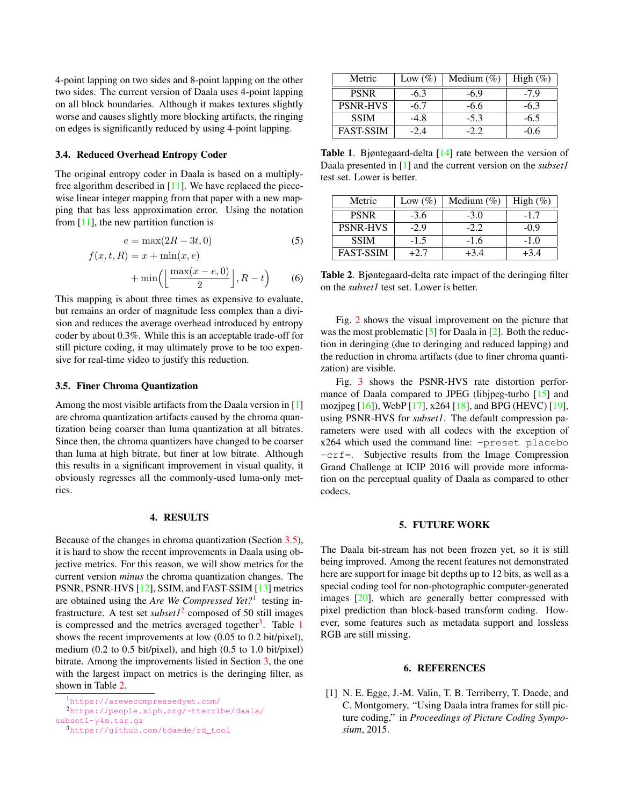<span id="page-2-0"></span>4-point lapping on two sides and 8-point lapping on the other two sides. The current version of Daala uses 4-point lapping on all block boundaries. Although it makes textures slightly worse and causes slightly more blocking artifacts, the ringing on edges is significantly reduced by using 4-point lapping.

#### 3.4. Reduced Overhead Entropy Coder

The original entropy coder in Daala is based on a multiplyfree algorithm described in [\[11\]](#page-3-0). We have replaced the piecewise linear integer mapping from that paper with a new mapping that has less approximation error. Using the notation from  $[11]$ , the new partition function is

$$
e = \max(2R - 3t, 0) \tag{5}
$$

$$
f(x, t, R) = x + \min(x, e)
$$

$$
+ \min\left(\left\lfloor\frac{\max(x - e, 0)}{2}\right\rfloor, R - t\right) \tag{6}
$$

This mapping is about three times as expensive to evaluate, but remains an order of magnitude less complex than a division and reduces the average overhead introduced by entropy coder by about 0.3%. While this is an acceptable trade-off for still picture coding, it may ultimately prove to be too expensive for real-time video to justify this reduction.

#### 3.5. Finer Chroma Quantization

Among the most visible artifacts from the Daala version in [1] are chroma quantization artifacts caused by the chroma quantization being coarser than luma quantization at all bitrates. Since then, the chroma quantizers have changed to be coarser than luma at high bitrate, but finer at low bitrate. Although this results in a significant improvement in visual quality, it obviously regresses all the commonly-used luma-only metrics.

### 4. RESULTS

Because of the changes in chroma quantization (Section 3.5), it is hard to show the recent improvements in Daala using objective metrics. For this reason, we will show metrics for the current version *minus* the chroma quantization changes. The PSNR, PSNR-HVS [\[12\]](#page-3-0), SSIM, and FAST-SSIM [\[13\]](#page-4-0) metrics are obtained using the *Are We Compressed Yet?*<sup>1</sup> testing infrastructure. A test set *subset1*<sup>2</sup> composed of 50 still images is compressed and the metrics averaged together<sup>3</sup>. Table 1 shows the recent improvements at low (0.05 to 0.2 bit/pixel), medium (0.2 to 0.5 bit/pixel), and high (0.5 to 1.0 bit/pixel) bitrate. Among the improvements listed in Section [3,](#page-0-0) the one with the largest impact on metrics is the deringing filter, as shown in Table 2.

<sup>3</sup>[https://github.com/tdaede/rd\\_tool](https://github.com/tdaede/rd_tool)

| Metric           | Low $(\%)$ | Medium $(\%)$ | High $(\%)$ |
|------------------|------------|---------------|-------------|
| <b>PSNR</b>      | $-6.3$     | $-6.9$        | $-7.9$      |
| <b>PSNR-HVS</b>  | -6.7       | $-6.6$        | $-6.3$      |
| <b>SSIM</b>      | -4.8       | $-5.3$        | $-6.5$      |
| <b>FAST-SSIM</b> | $-2.4$     | -22           | -0.6        |

Table 1. Bjøntegaard-delta [\[14\]](#page-4-0) rate between the version of Daala presented in [1] and the current version on the *subset1* test set. Lower is better.

| Metric           | Low $(\%)$ | Medium $(\% )$ | High $(\%)$ |
|------------------|------------|----------------|-------------|
| <b>PSNR</b>      | $-3.6$     | $-3.0$         | $-1.7$      |
| <b>PSNR-HVS</b>  | $-2.9$     | $-2.2$         | $-0.9$      |
| <b>SSIM</b>      | $-1.5$     | $-1.6$         | $-1.0$      |
| <b>FAST-SSIM</b> | +2.7       | $+3.4$         | $+3.4$      |

Table 2. Bjøntegaard-delta rate impact of the deringing filter on the *subset1* test set. Lower is better.

Fig. [2](#page-3-0) shows the visual improvement on the picture that was the most problematic  $[5]$  for Daala in  $[2]$ . Both the reduction in deringing (due to deringing and reduced lapping) and the reduction in chroma artifacts (due to finer chroma quantization) are visible.

Fig. [3](#page-3-0) shows the PSNR-HVS rate distortion performance of Daala compared to JPEG (libjpeg-turbo [\[15\]](#page-4-0) and mozjpeg [\[16\]](#page-4-0)), WebP [\[17\]](#page-4-0), x264 [\[18\]](#page-4-0), and BPG (HEVC) [\[19\]](#page-4-0), using PSNR-HVS for *subset1*. The default compression parameters were used with all codecs with the exception of x264 which used the command line: -preset placebo -crf=. Subjective results from the Image Compression Grand Challenge at ICIP 2016 will provide more information on the perceptual quality of Daala as compared to other codecs.

#### 5. FUTURE WORK

The Daala bit-stream has not been frozen yet, so it is still being improved. Among the recent features not demonstrated here are support for image bit depths up to 12 bits, as well as a special coding tool for non-photographic computer-generated images [\[20\]](#page-4-0), which are generally better compressed with pixel prediction than block-based transform coding. However, some features such as metadata support and lossless RGB are still missing.

#### 6. REFERENCES

[1] N. E. Egge, J.-M. Valin, T. B. Terriberry, T. Daede, and C. Montgomery, "Using Daala intra frames for still picture coding," in *Proceedings of Picture Coding Symposium*, 2015.

<sup>1</sup><https://arewecompressedyet.com/>

<sup>2</sup>[https://people.xiph.org/~tterribe/daala/](https://people.xiph.org/~tterribe/daala/subset1-y4m.tar.gz) [subset1-y4m.tar.gz](https://people.xiph.org/~tterribe/daala/subset1-y4m.tar.gz)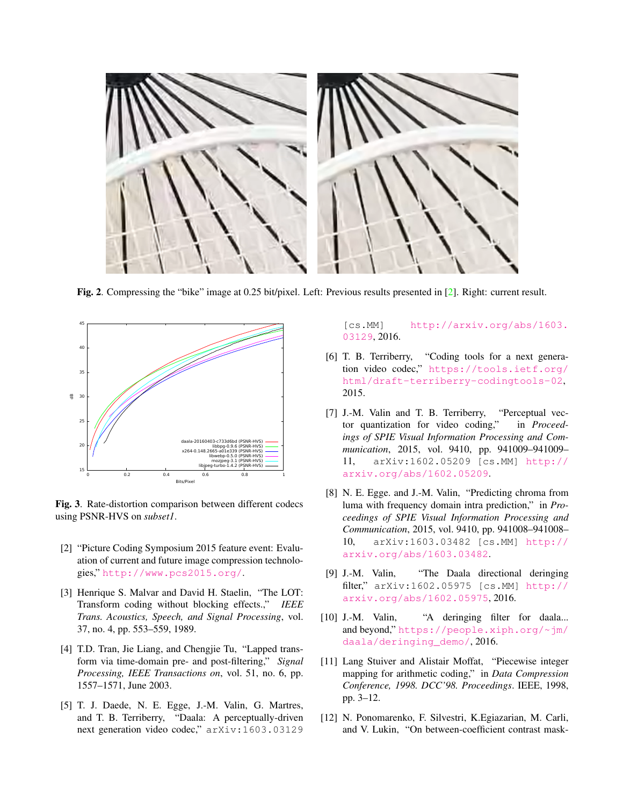<span id="page-3-0"></span>

Fig. 2. Compressing the "bike" image at 0.25 bit/pixel. Left: Previous results presented in [2]. Right: current result.



Fig. 3. Rate-distortion comparison between different codecs using PSNR-HVS on *subset1*.

- [2] "Picture Coding Symposium 2015 feature event: Evaluation of current and future image compression technologies," <http://www.pcs2015.org/>.
- [3] Henrique S. Malvar and David H. Staelin, "The LOT: Transform coding without blocking effects.," *IEEE Trans. Acoustics, Speech, and Signal Processing*, vol. 37, no. 4, pp. 553–559, 1989.
- [4] T.D. Tran, Jie Liang, and Chengjie Tu, "Lapped transform via time-domain pre- and post-filtering," *Signal Processing, IEEE Transactions on*, vol. 51, no. 6, pp. 1557–1571, June 2003.
- [5] T. J. Daede, N. E. Egge, J.-M. Valin, G. Martres, and T. B. Terriberry, "Daala: A perceptually-driven next generation video codec," arXiv:1603.03129

[cs.MM] [http://arxiv.org/abs/1603.](http://arxiv.org/abs/1603.03129) [03129](http://arxiv.org/abs/1603.03129), 2016.

- [6] T. B. Terriberry, "Coding tools for a next generation video codec," [https://tools.ietf.org/](https://tools.ietf.org/html/draft-terriberry-codingtools-02) [html/draft-terriberry-codingtools-02](https://tools.ietf.org/html/draft-terriberry-codingtools-02), 2015.
- [7] J.-M. Valin and T. B. Terriberry, "Perceptual vector quantization for video coding," in *Proceedings of SPIE Visual Information Processing and Communication*, 2015, vol. 9410, pp. 941009–941009– 11, arXiv:1602.05209 [cs.MM] [http://](http://arxiv.org/abs/1602.05209) [arxiv.org/abs/1602.05209](http://arxiv.org/abs/1602.05209).
- [8] N. E. Egge. and J.-M. Valin, "Predicting chroma from luma with frequency domain intra prediction," in *Proceedings of SPIE Visual Information Processing and Communication*, 2015, vol. 9410, pp. 941008–941008– 10, arXiv:1603.03482 [cs.MM] [http://](http://arxiv.org/abs/1603.03482) [arxiv.org/abs/1603.03482](http://arxiv.org/abs/1603.03482).
- [9] J.-M. Valin, "The Daala directional deringing filter," arXiv:1602.05975 [cs.MM] [http://](http://arxiv.org/abs/1602.05975) [arxiv.org/abs/1602.05975](http://arxiv.org/abs/1602.05975), 2016.
- [10] J.-M. Valin, "A deringing filter for daala... and beyond," [https://people.xiph.org/~jm/](https://people.xiph.org/~jm/daala/deringing_demo/) [daala/deringing\\_demo/](https://people.xiph.org/~jm/daala/deringing_demo/), 2016.
- [11] Lang Stuiver and Alistair Moffat, "Piecewise integer mapping for arithmetic coding," in *Data Compression Conference, 1998. DCC'98. Proceedings*. IEEE, 1998, pp. 3–12.
- [12] N. Ponomarenko, F. Silvestri, K.Egiazarian, M. Carli, and V. Lukin, "On between-coefficient contrast mask-